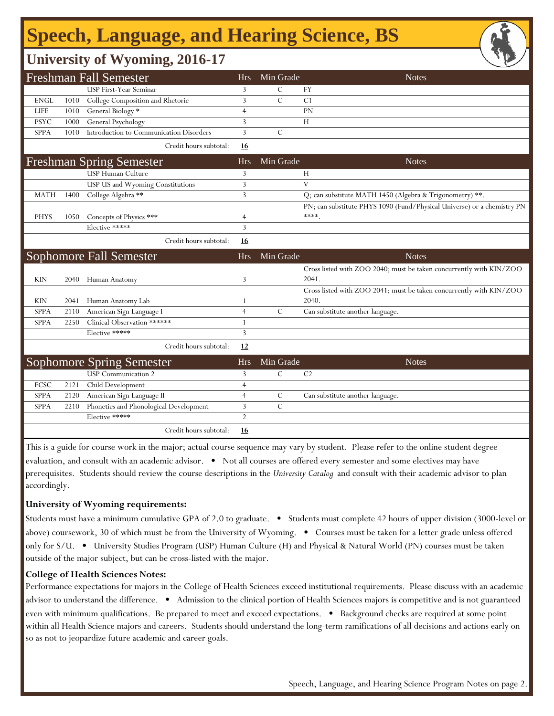# **Speech, Language, and Hearing Science, BS**

## **University of Wyoming, 2016-17**

|             |      | <b>Freshman Fall Semester</b>           | <b>Hrs</b>     | Min Grade     | <b>Notes</b>                                                            |
|-------------|------|-----------------------------------------|----------------|---------------|-------------------------------------------------------------------------|
|             |      | <b>USP First-Year Seminar</b>           | 3              | $\mathcal{C}$ | FY                                                                      |
| <b>ENGL</b> | 1010 | College Composition and Rhetoric        | 3              | $\mathcal{C}$ | C <sub>1</sub>                                                          |
| <b>LIFE</b> | 1010 | General Biology *                       | $\overline{4}$ |               | PN                                                                      |
| <b>PSYC</b> | 1000 | General Psychology                      | 3              |               | H                                                                       |
| <b>SPPA</b> | 1010 | Introduction to Communication Disorders | 3              | $\mathcal{C}$ |                                                                         |
|             |      | Credit hours subtotal:                  | 16             |               |                                                                         |
|             |      | <b>Freshman Spring Semester</b>         | <b>Hrs</b>     | Min Grade     | <b>Notes</b>                                                            |
|             |      | USP Human Culture                       | 3              |               | Н                                                                       |
|             |      | USP US and Wyoming Constitutions        | 3              |               | V                                                                       |
| <b>MATH</b> | 1400 | College Algebra **                      | 3              |               | Q; can substitute MATH 1450 (Algebra & Trigonometry) **.                |
|             |      |                                         |                |               | PN; can substitute PHYS 1090 (Fund/Physical Universe) or a chemistry PN |
| <b>PHYS</b> | 1050 | Concepts of Physics ***                 | $\overline{4}$ |               | ****.                                                                   |
|             |      | Elective *****                          | 3              |               |                                                                         |
|             |      | Credit hours subtotal:                  | 16             |               |                                                                         |
|             |      | <b>Sophomore Fall Semester</b>          | <b>Hrs</b>     | Min Grade     | <b>Notes</b>                                                            |
|             |      |                                         |                |               | Cross listed with ZOO 2040; must be taken concurrently with KIN/ZOO     |
| <b>KIN</b>  | 2040 | Human Anatomy                           | 3              |               | 2041.                                                                   |
|             |      |                                         |                |               | Cross listed with ZOO 2041; must be taken concurrently with KIN/ZOO     |
| KIN         | 2041 | Human Anatomy Lab                       | 1              |               | 2040.                                                                   |
| <b>SPPA</b> | 2110 | American Sign Language I                | $\overline{4}$ | $\mathcal{C}$ | Can substitute another language.                                        |
| SPPA        | 2250 | Clinical Observation ******             | $\mathbf{1}$   |               |                                                                         |
|             |      | Elective *****                          | 3              |               |                                                                         |
|             |      | Credit hours subtotal:                  | 12             |               |                                                                         |
|             |      | <b>Sophomore Spring Semester</b>        | <b>Hrs</b>     | Min Grade     | <b>Notes</b>                                                            |
|             |      | <b>USP</b> Communication 2              | 3              | $\mathcal{C}$ | C <sub>2</sub>                                                          |
| FCSC        | 2121 | Child Development                       | $\overline{4}$ |               |                                                                         |
| <b>SPPA</b> | 2120 | American Sign Language II               | $\overline{4}$ | $\mathcal{C}$ | Can substitute another language.                                        |
| SPPA        | 2210 | Phonetics and Phonological Development  | 3              | $\mathcal{C}$ |                                                                         |
|             |      | Elective *****                          | $\overline{2}$ |               |                                                                         |
|             |      | Credit hours subtotal:                  | <u>16</u>      |               |                                                                         |

This is a guide for course work in the major; actual course sequence may vary by student. Please refer to the online student degree evaluation, and consult with an academic advisor. • Not all courses are offered every semester and some electives may have prerequisites. Students should review the course descriptions in the *University Catalog* and consult with their academic advisor to plan accordingly.

#### **University of Wyoming requirements:**

Students must have a minimum cumulative GPA of 2.0 to graduate. • Students must complete 42 hours of upper division (3000-level or above) coursework, 30 of which must be from the University of Wyoming. • Courses must be taken for a letter grade unless offered only for S/U. • University Studies Program (USP) Human Culture (H) and Physical & Natural World (PN) courses must be taken outside of the major subject, but can be cross-listed with the major.

#### **College of Health Sciences Notes:**

Performance expectations for majors in the College of Health Sciences exceed institutional requirements. Please discuss with an academic advisor to understand the difference. • Admission to the clinical portion of Health Sciences majors is competitive and is not guaranteed even with minimum qualifications. Be prepared to meet and exceed expectations. • Background checks are required at some point within all Health Science majors and careers. Students should understand the long-term ramifications of all decisions and actions early on so as not to jeopardize future academic and career goals.